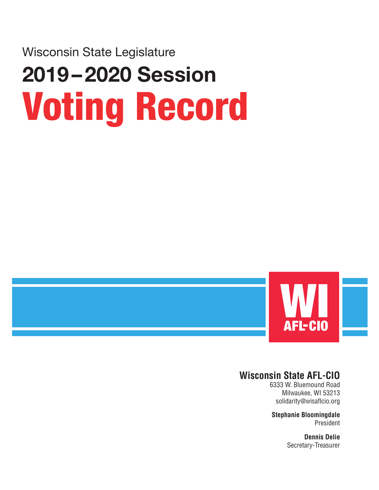Wisconsin State Legislature

# 2019 – 2020 Session Voting Record



## **Wisconsin State AFL-CIO Wisconsin State AFL-CIO**

6333 W. Bluemound Road 6333 W. Bluemound Road Milwaukee, WI 53213 Milwaukee, WI 53213 solidarity@wisaflcio.org solidarity@wisaflcio.org

**Stephanie Bloomingdale** President President

**Stephanie Bloomingdale Dennis Delie** Secretary-Treasurer Secretary-Treasurer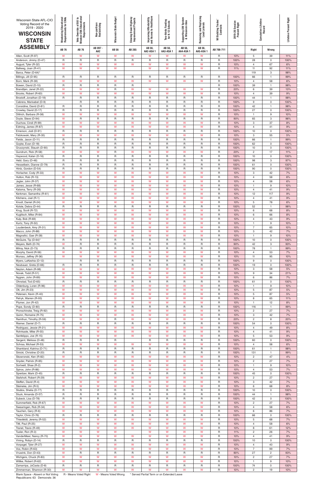| Wisconsin State AFL-CIO<br>Voting Record of the<br>2019 - 2020<br><b>WISCONSIN</b><br><b>STATE</b> | Weakening Educational<br>Requirements for CNAs | Veto Override of Bill to<br>Weaken CNA Educational<br>Requirements | Non-partisan<br>Redistricting | Wisconsin State Budget       | Slowing Down Highway<br>Improvement Projects<br>Slowing | Improving Affordability<br>and Access to Healthcare | Two-thirds Funding<br>for K-12 Schools | Supporting UW System<br>& Wisconsin Idea | Removing and Replacing<br>Lead Laterals | <b>WI Building Trades'</b><br>Contracts | 2019-20 Session<br>Percent Right | Cumulative Lifetime<br>Record    |                    | <b>Lifetime Percent Right</b> |
|----------------------------------------------------------------------------------------------------|------------------------------------------------|--------------------------------------------------------------------|-------------------------------|------------------------------|---------------------------------------------------------|-----------------------------------------------------|----------------------------------------|------------------------------------------|-----------------------------------------|-----------------------------------------|----------------------------------|----------------------------------|--------------------|-------------------------------|
| <b>ASSEMBLY</b>                                                                                    | <b>AB 76</b>                                   | <b>AB 76</b>                                                       | AB 897 -<br>AA2               | AB 56                        | AB 285                                                  | AB 56,<br>AA2-ASA 1                                 | AB 56,<br>AA3-ASA1                     | AB 56,<br>AA4-ASA 1                      | AB 56,<br>AA5-ASA1                      | AB 706-711                              |                                  | Right                            | Wrong              |                               |
| Allen, Scott (R-97)                                                                                | W                                              | W                                                                  | W                             | W                            | W                                                       | W                                                   | W                                      | W                                        | W                                       | $\mathsf R$                             | 10%                              | 5                                | 39                 | 11%                           |
| Anderson, Jimmy (D-47)                                                                             | R<br>W                                         | $\mathsf{R}$<br>W                                                  | $\mathsf{R}$<br>W             | R<br>W                       | R<br>W                                                  | R<br>W                                              | R<br>W                                 | R<br>W                                   | R<br>W                                  | $\mathsf R$<br>$\mathsf R$              | 100%<br>10%                      | 28<br>$\overline{4}$             | 0<br>67            | 100%<br>6%                    |
| August, Tyler (R-32)<br>Ballweg, Joan (R-41)                                                       | W                                              | W                                                                  | W                             | W                            |                                                         | W                                                   | W                                      | W                                        | W                                       | R                                       | 11%                              | 11                               | 92                 | 11%                           |
| Barca, Peter (D-64)*                                                                               |                                                |                                                                    |                               |                              |                                                         |                                                     |                                        |                                          |                                         |                                         |                                  | 119                              | 3                  | 98%                           |
| Billings, Jill (D-95)<br>Born, Mark (R-39)                                                         | R<br>W                                         | $\mathsf{R}$<br>W                                                  | R<br>W                        | R<br>W                       | R<br>W                                                  | R<br>W                                              | R<br>W                                 | R<br>W                                   | $\mathsf{R}$<br>W                       | $\mathsf R$<br>$\mathsf R$              | 100%<br>10%                      | 66<br>$\overline{4}$             | $\mathbf{1}$<br>58 | 99%<br>6%                     |
| Bowen, David (D-10)                                                                                | R                                              | $\mathsf{R}$                                                       | R                             | R                            | R                                                       |                                                     |                                        |                                          |                                         | $\mathsf R$                             | 100%                             | 39                               | $\mathbf{1}$       | 98%                           |
| Brandtjen, Janel (R-22)<br>Brooks, Robert (R-60)                                                   | W<br>W                                         | W<br>W                                                             | W<br>W                        | $\mathsf{R}$<br>W            | W<br>W                                                  | W<br>W                                              | W<br>W                                 | W<br>W                                   | W<br>W                                  | R<br>$\mathsf R$                        | 20%<br>10%                       | 6<br>$\overline{4}$              | 39<br>39           | 13%<br>9%                     |
| Brostoff, Jonathan (D-19)                                                                          | R                                              | R                                                                  | R                             | R                            | R                                                       | R                                                   | R                                      | R                                        | R                                       | R                                       | 100%                             | 44                               | $\mathbf{1}$       | 98%                           |
| Cabrera, Marisabel (D-9)                                                                           |                                                | $\mathsf{R}$                                                       | R                             | $\mathsf{R}$                 | R                                                       | R                                                   | R                                      | $\mathsf{R}$                             | $\mathsf{R}$                            | R                                       | 100%                             | 9                                | 0                  | 100%                          |
| Considine, David (D-81)<br>Crowley, David (D-17)                                                   | R<br>R                                         | $\mathsf{R}$<br>$\mathsf{R}$                                       | R<br>R                        | $\mathsf{R}$<br>$\mathsf{R}$ | R<br>R                                                  | R<br>R                                              | $\mathsf{R}$<br>$\mathsf{R}$           | $\mathsf{R}$<br>$\mathsf{R}$             | $\mathsf{R}$<br>$\mathsf{R}$            | R<br>$\mathsf{R}$                       | 100%<br>100%                     | 42<br>27                         | $\mathbf{1}$<br>0  | 98%<br>100%                   |
| Dittrich, Barbara (R-38)                                                                           | W                                              | W                                                                  | W                             | W                            | W                                                       | W                                                   | W                                      | W                                        | W                                       | R                                       | 10%                              | $\mathbf{1}$                     | 9                  | 10%                           |
| Doyle, Steve (D-94)<br>Duchow, Cindi (R-99)                                                        | W<br>W                                         | $\mathsf{R}$<br>W                                                  | R<br>W                        | $\mathsf{R}$<br>W            | R<br>W                                                  | R<br>W                                              | $\mathsf{R}$<br>W                      | $\mathsf{R}$<br>W                        | $\mathsf{R}$<br>W                       | $\mathsf R$<br>$\mathsf R$              | 90%<br>10%                       | 65<br>3                          | 3<br>37            | 96%<br>8%                     |
| Edming, James (R-87)                                                                               | W                                              | W                                                                  | W                             | W                            | W                                                       | W                                                   | W                                      | W                                        | W                                       | $\mathsf R$                             | 10%                              | $\overline{4}$                   | 41                 | 9%                            |
| Emerson, Jodi (D-91)                                                                               | R<br>W                                         | $\mathsf{R}$<br>W                                                  | R<br>W                        | R<br>W                       | R<br>W                                                  | R<br>W                                              | $\mathsf R$<br>W                       | $\mathsf{R}$<br>W                        | $\mathsf{R}$<br>W                       | $\mathsf R$<br>$\mathsf R$              | 100%                             | 10                               | 0<br>55            | 100%<br>5%                    |
| Felzkowski, Mary (R-35)<br>Fields, Jason (D-11)                                                    | R                                              | $\mathsf{R}$                                                       | $\mathsf{R}$                  | $\mathsf{R}$                 | R                                                       | R                                                   | $\mathsf R$                            | $\mathsf{R}$                             | $\mathsf{R}$                            | $\mathsf R$                             | 10%<br>100%                      | 3<br>66                          | $\mathbf{1}$       | 99%                           |
| Goyke, Evan (D-18)                                                                                 | R                                              | $\mathsf R$                                                        | R                             | $\mathsf{R}$                 | R                                                       | R                                                   | $\mathsf R$                            | $\mathsf{R}$                             | $\mathsf{R}$                            | $\mathsf R$                             | 100%                             | 62                               | 0                  | 100%                          |
| Gruszynski, Staush (D-90)<br>Gundrum, Rick (R-58)                                                  | R<br>W                                         | $\mathsf{R}$<br>W                                                  | R<br>W                        | R<br>$\mathsf{R}$            | R<br>W                                                  | R<br>W                                              | $\mathsf R$<br>W                       | R<br>W                                   | $\mathsf{R}$<br>W                       | R<br>$\mathsf R$                        | 100%<br>20%                      | 10<br>$\overline{2}$             | 0<br>17            | 100%<br>11%                   |
| Haywood, Kalan (D-16)                                                                              | R                                              | $\mathsf{R}$                                                       | R                             | $\mathsf R$                  | R                                                       | $\mathsf R$                                         | $\mathsf R$                            | $\mathsf{R}$                             | $\mathsf{R}$                            | $\mathsf R$                             | 100%                             | 10                               | 0                  | 100%                          |
| Hebl, Gary (D-46)<br>Hesselbein, Dianne (D-79)                                                     | R<br>R                                         | $\mathsf{R}$<br>$\mathsf{R}$                                       | $\mathsf R$<br>$\mathsf{R}$   | $\mathsf{R}$<br>R            | R<br>R                                                  | R<br>R                                              | $\mathsf R$<br>R                       | R<br>R                                   | $\mathsf{R}$<br>$\mathsf{R}$            | $\mathsf R$<br>$\mathsf R$              | 100%<br>100%                     | 98<br>61                         | 3<br>0             | 97%<br>100%                   |
| Hintz, Gordon (D-54)                                                                               | R                                              | $\mathsf{R}$                                                       | $\mathsf R$                   | $\mathsf R$                  | R                                                       | R                                                   | $\mathsf R$                            | R                                        | $\mathsf{R}$                            | $\mathsf R$                             | 100%                             | 90                               | 0                  | 100%                          |
| Horlacher, Cody (R-33)                                                                             | W                                              | W                                                                  | W                             | W                            | W                                                       | W                                                   | W                                      | W                                        | W                                       | $\sf R$                                 | 10%                              | 3                                | 42                 | 7%                            |
| Hutton, Rob (R-13)<br>Jagler, John (R-37)                                                          | W<br>W                                         | W<br>W                                                             | W<br>W                        | W<br>W                       | W<br>W                                                  | W<br>W                                              | W<br>W                                 | W<br>W                                   | W<br>W                                  | $\mathsf R$<br>$\mathsf R$              | 10%<br>10%                       | $\overline{4}$<br>$\overline{4}$ | 58<br>58           | 6%<br>6%                      |
| James, Jesse (R-68)                                                                                | W                                              | W                                                                  | W                             | W                            | W                                                       | W                                                   | W                                      | W                                        | W                                       | R                                       | 10%                              | $\mathbf{1}$                     | 9                  | 10%                           |
| Katsma, Terry (R-26)                                                                               | W<br>W                                         | W<br>W                                                             | W<br>W                        | W<br>W                       | W<br>W                                                  | W<br>W                                              | W<br>W                                 | W<br>W                                   | W<br>W                                  | $\mathsf R$<br>R                        | 10%                              | $\overline{4}$                   | 41                 | 9%<br>9%                      |
| Kerkman, Samantha (R-61)<br>Kitchens, Joel (R-1)                                                   | W                                              | W                                                                  | W                             | W                            | W                                                       | W                                                   | W                                      | W                                        | W                                       | R                                       | 10%<br>10%                       | 12<br>$\overline{4}$             | 117<br>41          | 9%                            |
| Knodl, Daniel (R-24)                                                                               | W                                              | W                                                                  | W                             | W                            | W                                                       | W                                                   | W                                      | W                                        | W                                       | R                                       | 10%                              | 5                                | 78                 | 6%                            |
| Kolste, Debra (D-44)<br>Krug, Scott (R-72)                                                         | R<br>W                                         | $\mathsf{R}$<br>W                                                  | R<br>W                        | $\mathsf{R}$<br>W            | R<br>W                                                  | R<br>W                                              | $\mathsf{R}$<br>W                      | R<br>W                                   | $\mathsf{R}$<br>W                       | R<br>R                                  | 100%<br>10%                      | 52<br>6                          | $\mathbf{1}$<br>68 | 98%<br>8%                     |
| Kuglitsch, Mike (R-84)                                                                             | W                                              | W                                                                  | W                             | W                            | W                                                       | W                                                   | W                                      | W                                        | W                                       | R                                       | 10%                              | 6                                | 66                 | 8%                            |
| Kulp, Bob (R-69)                                                                                   | W<br>W                                         | W<br>W                                                             | W<br>W                        | W<br>W                       | W<br>W                                                  | W<br>W                                              | W<br>W                                 | W<br>W                                   | W<br>W                                  | R<br>$\mathsf R$                        | 10%<br>10%                       | $\overline{4}$<br>$\mathbf{1}$   | 43<br>9            | 9%<br>10%                     |
| Kurtz, Tony (R-50)<br>Loudenbeck, Amy (R-31)                                                       | W                                              | W                                                                  | W                             | W                            | W                                                       | W                                                   | W                                      | W                                        | W                                       | $\mathsf R$                             | 10%                              | $\overline{7}$                   | 65                 | 10%                           |
| Macco, John (R-88)                                                                                 | W                                              | W                                                                  | W                             | W                            | W                                                       | W                                                   | W                                      | W                                        | W                                       | R                                       | 10%                              | 3                                | 42                 | 7%                            |
| Magnafici, Gae (R-28)<br>McGuire, Tip (D-64)*                                                      | W<br>R                                         | W<br>$\mathsf{R}$                                                  | W<br>R                        | W<br>$\mathsf{R}$            | W<br>R                                                  | W<br>R                                              | W<br>$\mathsf{R}$                      | W<br>$\mathsf{R}$                        | W<br>$\mathsf{R}$                       | $\mathsf{R}$<br>$\mathsf R$             | 10%<br>100%                      | $\mathbf{1}$<br>10               | 9<br>0             | 10%<br>100%                   |
| Meyers, Beth (D-74)                                                                                | W                                              | $\mathsf R$                                                        | R                             | R                            | R                                                       | R                                                   | $\mathsf R$                            | R                                        | $\mathsf{R}$                            | $\mathsf R$                             | 90%                              | 42                               | 3                  | 93%                           |
| Milroy, Nick (D-73)                                                                                | R                                              | $\mathsf{R}$                                                       | R                             | $\mathsf{R}$                 | R                                                       | R                                                   | $\mathsf R$                            | $\mathsf{R}$                             | $\mathsf{R}$                            | $\mathsf{R}$                            | 100%                             | 78                               | $\mathbf{1}$       | 99%                           |
| Murphy, David (R-56)<br>Mursau, Jeffrey (R-36)                                                     | W<br>W                                         | W<br>W                                                             | W<br>W                        | W<br>W                       | W<br>W                                                  | W<br>W                                              | W<br>W                                 | W<br>W                                   | W<br>W                                  | $\sf R$<br>$\mathsf R$                  | 10%<br>10%                       | 4<br>11                          | 53<br>95           | 7%<br>10%                     |
| Myers, LaKeshia (D-12)                                                                             |                                                | $\mathsf R$                                                        | R                             | $\mathsf R$                  | R                                                       | R                                                   | $\mathsf R$                            | R                                        | R                                       | $\mathsf R$                             | 100%                             | 9                                | 0                  | 100%                          |
| Neubauer, Greta (D-66)<br>Neylon, Adam (R-98)                                                      | R<br>W                                         | $\mathsf R$<br>W                                                   | R<br>W                        | $\mathsf{R}$<br>W            | R<br>W                                                  | R<br>W                                              | $\mathsf R$<br>W                       | R<br>W                                   | $\mathsf{R}$<br>W                       | $\mathsf{R}$<br>$\mathsf R$             | 100%<br>10%                      | 19<br>3                          | 0<br>58            | 100%<br>5%                    |
| Novak, Todd (R-51)                                                                                 | W                                              | W                                                                  | W                             | W                            | W                                                       | W                                                   | W                                      | W                                        | W                                       | R                                       | 10%                              | 9                                | 34                 | 21%                           |
| Nygren, John (R-89)                                                                                | W                                              | W                                                                  | W                             | W                            | W                                                       | W                                                   | W                                      | W                                        | W                                       | R                                       | 10%                              | 6                                | 86                 | 7%                            |
| Ohnstad, Tod (D-65)<br>Oldenburg, Loren (R-96)                                                     | R<br>W                                         | $\mathsf R$<br>W                                                   | $\mathsf R$<br>W              | R<br>W                       | R<br>W                                                  | R<br>W                                              | $\mathsf R$<br>W                       | R<br>W                                   | R<br>W                                  | R<br>$\sf R$                            | 100%<br>10%                      | 61<br>$\mathbf{1}$               | 0<br>9             | 100%<br>10%                   |
| Ott, Jim (R-23)                                                                                    | W                                              | W                                                                  | W                             | W                            | W                                                       | W                                                   | W                                      | W                                        | W                                       | $\mathsf R$                             | 10%                              | 5                                | 87                 | 5%                            |
| Petersen, Kevin (R-40)<br>Petryk, Warren (R-93)                                                    | W<br>W                                         | W<br>W                                                             | W<br>W                        | W<br>W                       | W<br>W                                                  | W<br>W                                              | W<br>W                                 | W<br>W                                   | W<br>W                                  | R<br>R                                  | 10%<br>10%                       | 5<br>8                           | 87<br>65           | 5%<br>11%                     |
| Plumer, Jon (R-42)                                                                                 | W                                              | W                                                                  | W                             | W                            | W                                                       | W                                                   | W                                      | W                                        | W                                       | R                                       | 10%                              | $\mathbf{1}$                     | 12                 | 8%                            |
| Pope, Sondy (D-80)                                                                                 | R                                              | R                                                                  | R                             | R<br>W                       | R<br>W                                                  | R<br>W                                              | R                                      | R                                        | R<br>W                                  | R                                       | 100%                             | 116                              | $\mathbf{1}$       | 99%                           |
| Pronschinske, Treig (R-92)<br>Quinn, Romaine (R-75)                                                | W<br>W                                         | W<br>W                                                             | W<br>W                        | W                            | W                                                       | W                                                   | W<br>W                                 | W<br>W                                   | W                                       | R<br>R                                  | 10%<br>10%                       | $\overline{2}$<br>3              | 27<br>42           | 7%<br>7%                      |
| Ramthun, Timothy (R-59)                                                                            | W                                              | W                                                                  | W                             | $\mathsf{R}$                 | W                                                       | W                                                   | W                                      | W                                        | W                                       | R                                       | 20%                              | $\overline{2}$                   | 8                  | 20%                           |
| Riemer, Daniel (D-7)<br>Rodriguez, Jessie (R-21)                                                   | R<br>W                                         | $\mathsf{R}$<br>W                                                  | R<br>W                        | $\mathsf{R}$<br>W            | R<br>W                                                  | R<br>W                                              | R<br>W                                 | R<br>W                                   | R<br>W                                  | R<br>$\mathsf R$                        | 100%<br>10%                      | 54<br>4                          | 0<br>49            | 100%<br>8%                    |
| Rohrkaste, Mike (R-55)                                                                             | W                                              | W                                                                  | W                             | W                            | W                                                       | W                                                   | W                                      | W                                        | W                                       | R                                       | 10%                              | $\overline{4}$                   | 41                 | 9%                            |
| Sanfelippo, Joe (R-15)                                                                             | W                                              | W                                                                  | W                             | W                            | W                                                       | W                                                   | W                                      | W                                        | W<br>$\mathsf R$                        | $\mathsf R$                             | 10%                              | 5                                | 53                 | 9%                            |
| Sargent, Melissa (D-48)<br>Schraa, Michael (R-53)                                                  | R<br>W                                         | $\mathsf{R}$<br>W                                                  | R<br>W                        | R<br>W                       | W                                                       | R<br>W                                              | $\mathsf R$<br>W                       | R<br>W                                   | W                                       | $\mathsf R$<br>$\mathsf R$              | 100%<br>10%                      | 60<br>$\overline{4}$             | 0<br>58            | 100%<br>6%                    |
| Shankland, Katrina (D-71)                                                                          | R                                              | $\mathsf R$                                                        | R                             | $\mathsf{R}$                 | R                                                       | R                                                   | $\mathsf R$                            | R                                        | $\mathsf{R}$                            | R                                       | 100%                             | 61                               | 1                  | 98%                           |
| Sinicki, Christine (D-20)<br>Skowronski, Ken (R-82)                                                | R<br>W                                         | $\mathsf R$<br>W                                                   | R<br>W                        | $\sf R$<br>W                 | R<br>W                                                  | R<br>W                                              | $\mathsf{R}$<br>W                      | R<br>W                                   | $\mathsf{R}$<br>W                       | $\mathsf R$<br>$\mathsf R$              | 100%<br>10%                      | 131<br>$\overline{c}$            | $\mathbf{1}$<br>47 | 99%<br>4%                     |
| Snyder, Patrick (R-85)                                                                             | W                                              | W                                                                  | W                             | W                            | W                                                       | W                                                   | W                                      | W                                        | W                                       | $\mathsf R$                             | 10%                              | $\overline{2}$                   | 27                 | 7%                            |
| Sortwell, Shae (R-2)                                                                               | W                                              | W                                                                  | W                             | W                            | W                                                       | W                                                   | W                                      | W                                        | W                                       | $\mathsf R$                             | 10%                              | $\mathbf{1}$                     | 9                  | 10%                           |
| Spiros, John (R-86)<br>Spreitzer, Mark (D-45)                                                      | W<br>R                                         | W<br>R                                                             | W<br>R                        | W<br>R                       | W<br>R                                                  | W<br>R                                              | W<br>R                                 | W<br>R                                   | W<br>R                                  | $\mathsf R$<br>R                        | 10%<br>100%                      | $\overline{4}$<br>45             | 53<br>0            | 7%<br>100%                    |
| Stafsholt, Robert (R-29)                                                                           | W                                              | W                                                                  | W                             | W                            | W                                                       | W                                                   | W                                      | W                                        | W                                       | R                                       | 10%                              | $\overline{2}$                   | 27                 | 7%                            |
| Steffen, David (R-4)<br>Steineke, Jim (R-5)                                                        | W<br>W                                         | W<br>W                                                             | W<br>W                        | W<br>W                       | W<br>W                                                  | W<br>W                                              | W<br>W                                 | W<br>W                                   | W<br>W                                  | R<br>R                                  | 10%<br>10%                       | 3<br>6                           | 42<br>68           | 7%<br>8%                      |
| Stubbs, Shelia (D-77)                                                                              | R                                              | $\mathsf R$                                                        | R                             | R                            | R                                                       | R                                                   | R                                      | R                                        | R                                       | R                                       | 100%                             | 10                               | 0                  | 100%                          |
| Stuck, Amanda (D-57)                                                                               | R                                              | R                                                                  | R                             | R                            | R                                                       | R                                                   | R                                      | R                                        | R                                       | R                                       | 100%                             | 44                               | $\mathbf{1}$       | 98%                           |
| Subeck, Lisa (D-78)<br>Summerfield, Rob (R-67)                                                     | $\sf R$<br>W                                   | $\mathsf R$<br>W                                                   | $\mathsf R$<br>W              | $\mathsf R$<br>W             | R<br>W                                                  | R<br>W                                              | $\mathsf R$<br>W                       | $\mathsf R$<br>W                         | $\sf R$<br>W                            | $\mathsf R$<br>R                        | 100%<br>10%                      | 42<br>$\overline{2}$             | 0<br>27            | 100%<br>7%                    |
| Swearingen, Rob (R-34)                                                                             | W                                              | W                                                                  | W                             | W                            | W                                                       | W                                                   | W                                      | W                                        | W                                       | R                                       | 10%                              | $\overline{4}$                   | 58                 | 6%                            |
| Tauchen, Gary (R-6)                                                                                | W<br>R                                         | W                                                                  | W                             | W<br>$\mathsf{R}$            | W                                                       | W                                                   | W                                      | W<br>$\mathsf R$                         | W                                       | R                                       | 10%                              | 6                                | 86                 | 7%                            |
| Taylor, Chris (D-76)<br>Thiesfeldt, Jeremy (R-52)                                                  | W                                              | $\mathsf{R}$<br>W                                                  | R<br>W                        | W                            | R<br>W                                                  | R<br>W                                              | $\mathsf{R}$<br>W                      | W                                        | R<br>W                                  | R<br>R                                  | 100%<br>10%                      | 66<br>5                          | 0<br>68            | 100%<br>7%                    |
| Tittl, Paul (R-25)                                                                                 | W                                              | W                                                                  | W                             | W                            | W                                                       | W                                                   | W                                      | W                                        | W                                       | R                                       | 10%                              | 4                                | 58                 | 6%                            |
| Tranel, Travis (R-49)<br>Tusler, Ron (R-3)                                                         | W<br>W                                         | W<br>W                                                             | W<br>W                        | W<br>W                       | W                                                       | W<br>W                                              | W<br>W                                 | W<br>W                                   | W<br>W                                  | R<br>R                                  | 10%<br>11%                       | 8<br>$\overline{2}$              | 61<br>26           | 12%<br>7%                     |
| VanderMeer, Nancy (R-70)                                                                           | W                                              | W                                                                  | W                             | W                            | W                                                       | W                                                   | W                                      | W                                        | W                                       | R                                       | 10%                              | $\overline{4}$                   | 41                 | 9%                            |
| Vining, Robyn (D-14)                                                                               | R                                              | R                                                                  | R                             | $\mathsf{R}$                 | R                                                       | R                                                   | $\mathsf R$                            | $\mathsf R$                              | R                                       | R                                       | 100%                             | 10                               | 0                  | 100%                          |
| Vorpagel, Tyler (R-27)<br>Vos, Robin (R-63)                                                        | W<br>W                                         | W<br>W                                                             | W<br>W                        | W<br>W                       | W<br>W                                                  | W<br>W                                              | W<br>W                                 | W<br>W                                   | W<br>W                                  | R<br>R                                  | 10%<br>10%                       | $\overline{4}$<br>$\overline{7}$ | 40<br>99           | 9%<br>7%                      |
| Vruwink, Don (D-43)                                                                                | W                                              | $\mathsf R$                                                        | R                             | $\mathsf{R}$                 | R                                                       | R                                                   | $\mathsf R$                            | R                                        | R                                       | R                                       | 90%                              | 27                               | $\overline{2}$     | 93%                           |
| Wichgers, Chuck (R-83)                                                                             | W                                              | W                                                                  | W                             | W                            | W                                                       | W                                                   | W                                      | W                                        | W                                       | R                                       | 10%                              | $\overline{c}$                   | 27                 | 7%                            |
| Wittke, Robert (R-62)<br>Zamarripa, JoCasta (D-8)                                                  | W<br>R                                         | W<br>R                                                             | W<br>R                        | W<br>$\mathsf{R}$            | W<br>$\mathsf{R}$                                       | W<br>$\mathsf{R}$                                   | W<br>$\mathsf R$                       | W<br>R                                   | W<br>R                                  | R<br>$\mathsf R$                        | 10%<br>100%                      | $\mathbf{1}$<br>74               | 9<br>$\mathsf{O}$  | 10%<br>100%                   |
| Zimmerman, Shannon (R-30)                                                                          | W                                              | W                                                                  | W                             | W                            | W                                                       | W                                                   | W                                      | W                                        | W                                       | R                                       | 10%                              | $\overline{2}$                   | 19                 | 10%                           |

Republicans: 63 Democrats: 36

Blank Space - Absent or Not Voting R - Means Voted Right W - Means Voted Wrong \* Served Partial Term or on Extended Leave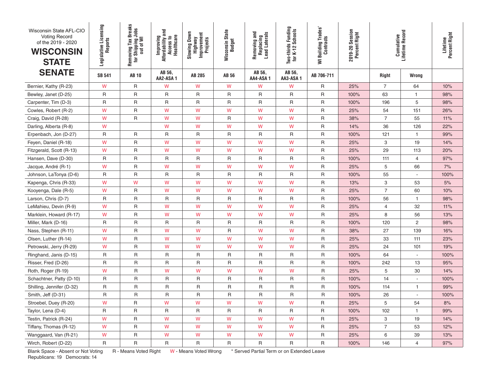| Wisconsin State AFL-CIO<br><b>Voting Record</b><br>of the 2019 - 2020<br><b>WISCONSIN</b><br><b>STATE</b> | Legislative Licensing<br>Reports | Removing Tax Breaks<br>for Shipping Jobs<br>out of WI | and<br>Healthcare<br>Improving<br>Affordability a<br>Access to | Slowing Down<br>Highway<br>Improvement<br>Projects | Wisconsin State<br><b>Budget</b> | and<br>Removing and<br>Replacing<br>Lead Laterals | Two-thirds Funding<br>for K-12 Schools | WI Building Trades'<br>Contracts | 2019-20 Session<br>Percent Right | Cumulative<br>Lifetime Record |                | Lifetime<br>Percent Right |
|-----------------------------------------------------------------------------------------------------------|----------------------------------|-------------------------------------------------------|----------------------------------------------------------------|----------------------------------------------------|----------------------------------|---------------------------------------------------|----------------------------------------|----------------------------------|----------------------------------|-------------------------------|----------------|---------------------------|
| <b>SENATE</b>                                                                                             | <b>SB 541</b>                    | <b>AB10</b>                                           | AB 56,<br>AA2-ASA 1                                            | AB 285                                             | <b>AB 56</b>                     | AB 56,<br>AA4-ASA1                                | AB 56,<br>AA3-ASA 1                    | AB 706-711                       |                                  | Right                         | Wrong          |                           |
| Bernier, Kathy (R-23)                                                                                     | W                                | R                                                     | W                                                              | W                                                  | W                                | W                                                 | W                                      | R                                | 25%                              | 7                             | 64             | 10%                       |
| Bewley, Janet (D-25)                                                                                      | R                                | R                                                     | $\mathsf R$                                                    | R                                                  | R                                | R                                                 | R                                      | R                                | 100%                             | 63                            | $\mathbf{1}$   | 98%                       |
| Carpenter, Tim (D-3)                                                                                      | R                                | R                                                     | R                                                              | $\mathsf{R}$                                       | R                                | R                                                 | $\mathsf{R}$                           | R                                | 100%                             | 196                           | 5              | 98%                       |
| Cowles, Robert (R-2)                                                                                      | W                                | R                                                     | W                                                              | W                                                  | W                                | W                                                 | W                                      | R                                | 25%                              | 54                            | 151            | 26%                       |
| Craig, David (R-28)                                                                                       | W                                | R                                                     | W                                                              | W                                                  | R                                | W                                                 | W                                      | R                                | 38%                              | $\overline{7}$                | 55             | 11%                       |
| Darling, Alberta (R-8)                                                                                    | W                                |                                                       | W                                                              | W                                                  | W                                | W                                                 | W                                      | $\mathsf{R}$                     | 14%                              | 36                            | 126            | 22%                       |
| Erpenbach, Jon (D-27)                                                                                     | R                                | R                                                     | R                                                              | R                                                  | R                                | R                                                 | R                                      | R                                | 100%                             | 121                           | $\mathbf{1}$   | 99%                       |
| Feyen, Daniel (R-18)                                                                                      | W                                | R                                                     | W                                                              | W                                                  | W                                | W                                                 | W                                      | R                                | 25%                              | 3                             | 19             | 14%                       |
| Fitzgerald, Scott (R-13)                                                                                  | W                                | R                                                     | W                                                              | W                                                  | W                                | W                                                 | W                                      | R                                | 25%                              | 29                            | 113            | 20%                       |
| Hansen, Dave (D-30)                                                                                       | $\mathsf{R}$                     | R                                                     | $\mathsf R$                                                    | R                                                  | R                                | $\mathsf R$                                       | $\mathsf{R}$                           | R                                | 100%                             | 111                           | 4              | 97%                       |
| Jacque, André (R-1)                                                                                       | W                                | R                                                     | W                                                              | W                                                  | W                                | W                                                 | W                                      | R                                | 25%                              | 5                             | 66             | 7%                        |
| Johnson, LaTonya (D-6)                                                                                    | $\mathsf{R}$                     | R                                                     | $\mathsf R$                                                    | R                                                  | R                                | $\mathsf R$                                       | $\mathsf{R}$                           | R                                | 100%                             | 55                            | $\blacksquare$ | 100%                      |
| Kapenga, Chris (R-33)                                                                                     | W                                | W                                                     | W                                                              | W                                                  | W                                | W                                                 | W                                      | R                                | 13%                              | 3                             | 53             | 5%                        |
| Kooyenga, Dale (R-5)                                                                                      | W                                | R                                                     | W                                                              | W                                                  | W                                | W                                                 | W                                      | R                                | 25%                              | $\overline{7}$                | 60             | 10%                       |
| Larson, Chris (D-7)                                                                                       | R                                | R                                                     | $\mathsf R$                                                    | R                                                  | R                                | R                                                 | R                                      | R                                | 100%                             | 56                            | $\mathbf{1}$   | 98%                       |
| LeMahieu, Devin (R-9)                                                                                     | W                                | R                                                     | W                                                              | W                                                  | W                                | W                                                 | W                                      | R                                | 25%                              | $\overline{4}$                | 32             | 11%                       |
| Marklein, Howard (R-17)                                                                                   | W                                | R                                                     | W                                                              | W                                                  | W                                | W                                                 | W                                      | R                                | 25%                              | 8                             | 56             | 13%                       |
| Miller, Mark (D-16)                                                                                       | R                                | R                                                     | $\mathsf R$                                                    | $\mathsf{R}$                                       | R                                | R                                                 | R                                      | R                                | 100%                             | 120                           | 2              | 98%                       |
| Nass, Stephen (R-11)                                                                                      | W                                | R                                                     | W                                                              | W                                                  | R                                | W                                                 | W                                      | R                                | 38%                              | 27                            | 139            | 16%                       |
| Olsen, Luther (R-14)                                                                                      | W                                | R                                                     | W                                                              | W                                                  | W                                | W                                                 | W                                      | R                                | 25%                              | 33                            | 111            | 23%                       |
| Petrowski, Jerry (R-29)                                                                                   | W                                | R                                                     | W                                                              | W                                                  | W                                | W                                                 | W                                      | R                                | 25%                              | 24                            | 101            | 19%                       |
| Ringhand, Janis (D-15)                                                                                    | R                                | R                                                     | $\mathsf R$                                                    | $\mathsf{R}$                                       | R                                | R                                                 | $\mathsf{R}$                           | R                                | 100%                             | 64                            | $\blacksquare$ | 100%                      |
| Risser, Fred (D-26)                                                                                       | R                                | R                                                     | $\mathsf R$                                                    | R                                                  | R                                | $\mathsf R$                                       | R                                      | R                                | 100%                             | 242                           | 13             | 95%                       |
| Roth, Roger (R-19)                                                                                        | W                                | R                                                     | W                                                              | W                                                  | W                                | W                                                 | W                                      | R                                | 25%                              | 5                             | 30             | 14%                       |
| Schachtner, Patty (D-10)                                                                                  | R                                | R                                                     | $\mathsf R$                                                    | $\mathsf{R}$                                       | R                                | $\mathsf{R}$                                      | $\mathsf{R}$                           | R                                | 100%                             | 14                            |                | 100%                      |
| Shilling, Jennifer (D-32)                                                                                 | R                                | R                                                     | R                                                              | R                                                  | R                                | $\mathsf R$                                       | R                                      | R                                | 100%                             | 114                           | $\mathbf{1}$   | 99%                       |
| Smith, Jeff (D-31)                                                                                        | R                                | R                                                     | $\mathsf R$                                                    | R                                                  | R                                | R                                                 | $\overline{R}$                         | R                                | 100%                             | 26                            | $\blacksquare$ | 100%                      |
| Stroebel, Duey (R-20)                                                                                     | W                                | R                                                     | W                                                              | W                                                  | W                                | W                                                 | W                                      | R                                | 25%                              | 5                             | 54             | 8%                        |
| Taylor, Lena (D-4)                                                                                        | R                                | R                                                     | $\mathsf R$                                                    | $\mathsf R$                                        | R                                | $\mathsf R$                                       | $\sf R$                                | R                                | 100%                             | 102                           | $\mathbf{1}$   | 99%                       |
| Testin, Patrick (R-24)                                                                                    | W                                | R                                                     | ${\sf W}$                                                      | ${\sf W}$                                          | W                                | ${\sf W}$                                         | W                                      | R                                | 25%                              | 3                             | 19             | 14%                       |
| Tiffany, Thomas (R-12)                                                                                    | W                                | R                                                     | ${\sf W}$                                                      | W                                                  | W                                | ${\sf W}$                                         | W                                      | $\mathsf{R}$                     | 25%                              | $\overline{7}$                | 53             | 12%                       |
| Wanggaard, Van (R-21)                                                                                     | ${\sf W}$                        | R                                                     | W                                                              | W                                                  | ${\sf W}$                        | ${\sf W}$                                         | W                                      | R                                | 25%                              | 6                             | 39             | 13%                       |
| Wirch, Robert (D-22)                                                                                      | R                                | $\mathsf R$                                           | R                                                              | $\sf R$                                            | R                                | R                                                 | $\sf R$                                | $\mathsf{R}$                     | 100%                             | 146                           | $\overline{4}$ | 97%                       |

Blank Space - Absent or Not Voting<br>Republicans: 19 Democrats: 14

R - Means Voted Right W - Means Voted Wrong \* Served Partial Term or on Extended Leave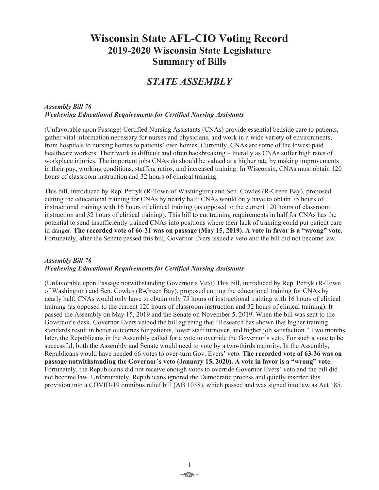# **Wisconsin State AFL-CIO Voting Record 2019-2020 Wisconsin State Legislature Summary of Bills**

# *STATE ASSEMBLY*

## *Assembly Bill 76 Weakening Educational Requirements for Certified Nursing Assistants*

(Unfavorable upon Passage) Certified Nursing Assistants (CNAs) provide essential bedside care to patients, gather vital information necessary for nurses and physicians, and work in a wide variety of environments, from hospitals to nursing homes to patients' own homes. Currently, CNAs are some of the lowest paid healthcare workers. Their work is difficult and often backbreaking – literally as CNAs suffer high rates of workplace injuries. The important jobs CNAs do should be valued at a higher rate by making improvements in their pay, working conditions, staffing ratios, and increased training. In Wisconsin, CNAs must obtain 120 hours of classroom instruction and 32 hours of clinical training.

This bill, introduced by Rep. Petryk (R-Town of Washington) and Sen. Cowles (R-Green Bay), proposed cutting the educational training for CNAs by nearly half: CNAs would only have to obtain 75 hours of instructional training with 16 hours of clinical training (as opposed to the current 120 hours of classroom instruction and 32 hours of clinical training). This bill to cut training requirements in half for CNAs has the potential to send insufficiently trained CNAs into positions where their lack of training could put patient care in danger. **The recorded vote of 66-31 was on passage (May 15, 2019). A vote in favor is a "wrong" vote.** Fortunately, after the Senate passed this bill, Governor Evers issued a veto and the bill did not become law.

#### *Assembly Bill 76 Weakening Educational Requirements for Certified Nursing Assistants*

(Unfavorable upon Passage notwithstanding Governor's Veto) This bill, introduced by Rep. Petryk (R-Town of Washington) and Sen. Cowles (R-Green Bay), proposed cutting the educational training for CNAs by nearly half: CNAs would only have to obtain only 75 hours of instructional training with 16 hours of clinical training (as opposed to the current 120 hours of classroom instruction and 32 hours of clinical training). It passed the Assembly on May 15, 2019 and the Senate on November 5, 2019. When the bill was sent to the Governor's desk, Governor Evers vetoed the bill agreeing that "Research has shown that higher training standards result in better outcomes for patients, lower staff turnover, and higher job satisfaction." Two months later, the Republicans in the Assembly called for a vote to override the Governor's veto. For such a vote to be successful, both the Assembly and Senate would need to vote by a two-thirds majority. In the Assembly, Republicans would have needed 66 votes to over-turn Gov. Evers' veto. **The recorded vote of 63-36 was on passage notwithstanding the Governor's veto (January 15, 2020). A vote in favor is a "wrong" vote.** Fortunately, the Republicans did not receive enough votes to override Governor Evers' veto and the bill did not become law. Unfortunately, Republicans ignored the Democratic process and quietly inserted this provision into a COVID-19 omnibus relief bill (AB 1038), which passed and was signed into law as Act 185.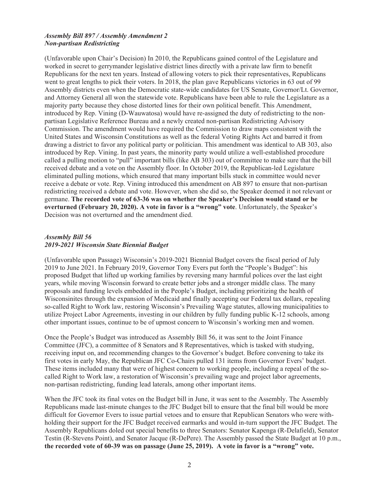#### *Assembly Bill 897 / Assembly Amendment 2 Non-partisan Redistricting*

(Unfavorable upon Chair's Decision) In 2010, the Republicans gained control of the Legislature and worked in secret to gerrymander legislative district lines directly with a private law firm to benefit Republicans for the next ten years. Instead of allowing voters to pick their representatives, Republicans went to great lengths to pick their voters. In 2018, the plan gave Republicans victories in 63 out of 99 Assembly districts even when the Democratic state-wide candidates for US Senate, Governor/Lt. Governor, and Attorney General all won the statewide vote. Republicans have been able to rule the Legislature as a majority party because they chose distorted lines for their own political benefit. This Amendment, introduced by Rep. Vining (D-Wauwatosa) would have re-assigned the duty of redistricting to the nonpartisan Legislative Reference Bureau and a newly created non-partisan Redistricting Advisory Commission. The amendment would have required the Commission to draw maps consistent with the United States and Wisconsin Constitutions as well as the federal Voting Rights Act and barred it from drawing a district to favor any political party or politician. This amendment was identical to AB 303, also introduced by Rep. Vining. In past years, the minority party would utilize a well-established procedure called a pulling motion to "pull" important bills (like AB 303) out of committee to make sure that the bill received debate and a vote on the Assembly floor. In October 2019, the Republican-led Legislature eliminated pulling motions, which ensured that many important bills stuck in committee would never receive a debate or vote. Rep. Vining introduced this amendment on AB 897 to ensure that non-partisan redistricting received a debate and vote. However, when she did so, the Speaker deemed it not relevant or germane. **The recorded vote of 63-36 was on whether the Speaker's Decision would stand or be overturned (February 20, 2020). A vote in favor is a "wrong" vote**. Unfortunately, the Speaker's Decision was not overturned and the amendment died.

## *Assembly Bill 56 2019-2021 Wisconsin State Biennial Budget*

(Unfavorable upon Passage) Wisconsin's 2019-2021 Biennial Budget covers the fiscal period of July 2019 to June 2021. In February 2019, Governor Tony Evers put forth the "People's Budget": his proposed Budget that lifted up working families by reversing many harmful polices over the last eight years, while moving Wisconsin forward to create better jobs and a stronger middle class. The many proposals and funding levels embedded in the People's Budget, including prioritizing the health of Wisconsinites through the expansion of Medicaid and finally accepting our Federal tax dollars, repealing so-called Right to Work law, restoring Wisconsin's Prevailing Wage statutes, allowing municipalities to utilize Project Labor Agreements, investing in our children by fully funding public K-12 schools, among other important issues, continue to be of upmost concern to Wisconsin's working men and women.

Once the People's Budget was introduced as Assembly Bill 56, it was sent to the Joint Finance Committee (JFC), a committee of 8 Senators and 8 Representatives, which is tasked with studying, receiving input on, and recommending changes to the Governor's budget. Before convening to take its first votes in early May, the Republican JFC Co-Chairs pulled 131 items from Governor Evers' budget. These items included many that were of highest concern to working people, including a repeal of the socalled Right to Work law, a restoration of Wisconsin's prevailing wage and project labor agreements, non-partisan redistricting, funding lead laterals, among other important items.

When the JFC took its final votes on the Budget bill in June, it was sent to the Assembly. The Assembly Republicans made last-minute changes to the JFC Budget bill to ensure that the final bill would be more difficult for Governor Evers to issue partial vetoes and to ensure that Republican Senators who were withholding their support for the JFC Budget received earmarks and would in-turn support the JFC Budget. The Assembly Republicans doled out special benefits to three Senators: Senator Kapenga (R-Delafield), Senator Testin (R-Stevens Point), and Senator Jacque (R-DePere). The Assembly passed the State Budget at 10 p.m., **the recorded vote of 60-39 was on passage (June 25, 2019). A vote in favor is a "wrong" vote.**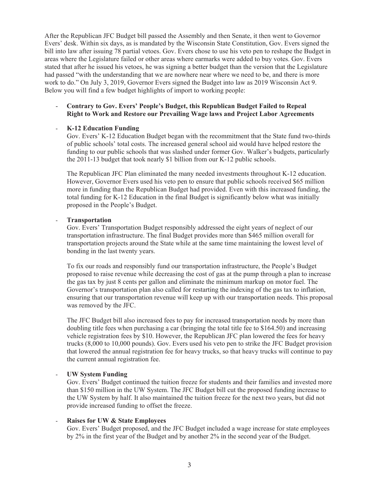After the Republican JFC Budget bill passed the Assembly and then Senate, it then went to Governor Evers' desk. Within six days, as is mandated by the Wisconsin State Constitution, Gov. Evers signed the bill into law after issuing 78 partial vetoes. Gov. Evers chose to use his veto pen to reshape the Budget in areas where the Legislature failed or other areas where earmarks were added to buy votes. Gov. Evers stated that after he issued his vetoes, he was signing a better budget than the version that the Legislature had passed "with the understanding that we are nowhere near where we need to be, and there is more work to do." On July 3, 2019, Governor Evers signed the Budget into law as 2019 Wisconsin Act 9. Below you will find a few budget highlights of import to working people:

#### - **Contrary to Gov. Evers' People's Budget, this Republican Budget Failed to Repeal Right to Work and Restore our Prevailing Wage laws and Project Labor Agreements**

#### - **K-12 Education Funding**

Gov. Evers' K-12 Education Budget began with the recommitment that the State fund two-thirds of public schools' total costs. The increased general school aid would have helped restore the funding to our public schools that was slashed under former Gov. Walker's budgets, particularly the 2011-13 budget that took nearly \$1 billion from our K-12 public schools.

The Republican JFC Plan eliminated the many needed investments throughout K-12 education. However, Governor Evers used his veto pen to ensure that public schools received \$65 million more in funding than the Republican Budget had provided. Even with this increased funding, the total funding for K-12 Education in the final Budget is significantly below what was initially proposed in the People's Budget.

#### - **Transportation**

Gov. Evers' Transportation Budget responsibly addressed the eight years of neglect of our transportation infrastructure. The final Budget provides more than \$465 million overall for transportation projects around the State while at the same time maintaining the lowest level of bonding in the last twenty years.

To fix our roads and responsibly fund our transportation infrastructure, the People's Budget proposed to raise revenue while decreasing the cost of gas at the pump through a plan to increase the gas tax by just 8 cents per gallon and eliminate the minimum markup on motor fuel. The Governor's transportation plan also called for restarting the indexing of the gas tax to inflation, ensuring that our transportation revenue will keep up with our transportation needs. This proposal was removed by the JFC.

The JFC Budget bill also increased fees to pay for increased transportation needs by more than doubling title fees when purchasing a car (bringing the total title fee to \$164.50) and increasing vehicle registration fees by \$10. However, the Republican JFC plan lowered the fees for heavy trucks (8,000 to 10,000 pounds). Gov. Evers used his veto pen to strike the JFC Budget provision that lowered the annual registration fee for heavy trucks, so that heavy trucks will continue to pay the current annual registration fee.

#### - **UW System Funding**

Gov. Evers' Budget continued the tuition freeze for students and their families and invested more than \$150 million in the UW System. The JFC Budget bill cut the proposed funding increase to the UW System by half. It also maintained the tuition freeze for the next two years, but did not provide increased funding to offset the freeze.

#### - **Raises for UW & State Employees**

Gov. Evers' Budget proposed, and the JFC Budget included a wage increase for state employees by 2% in the first year of the Budget and by another 2% in the second year of the Budget.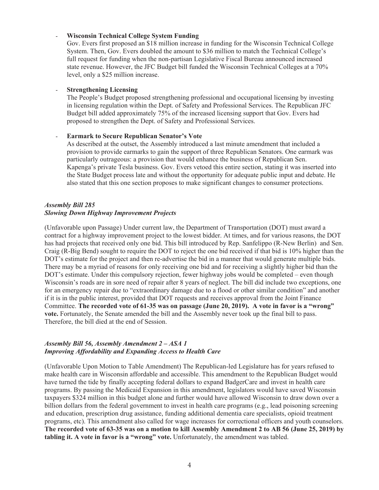#### - **Wisconsin Technical College System Funding**

Gov. Evers first proposed an \$18 million increase in funding for the Wisconsin Technical College System. Then, Gov. Evers doubled the amount to \$36 million to match the Technical College's full request for funding when the non-partisan Legislative Fiscal Bureau announced increased state revenue. However, the JFC Budget bill funded the Wisconsin Technical Colleges at a 70% level, only a \$25 million increase.

#### - **Strengthening Licensing**

The People's Budget proposed strengthening professional and occupational licensing by investing in licensing regulation within the Dept. of Safety and Professional Services. The Republican JFC Budget bill added approximately 75% of the increased licensing support that Gov. Evers had proposed to strengthen the Dept. of Safety and Professional Services.

#### - **Earmark to Secure Republican Senator's Vote**

As described at the outset, the Assembly introduced a last minute amendment that included a provision to provide earmarks to gain the support of three Republican Senators. One earmark was particularly outrageous: a provision that would enhance the business of Republican Sen. Kapenga's private Tesla business. Gov. Evers vetoed this entire section, stating it was inserted into the State Budget process late and without the opportunity for adequate public input and debate. He also stated that this one section proposes to make significant changes to consumer protections.

## *Assembly Bill 285 Slowing Down Highway Improvement Projects*

(Unfavorable upon Passage) Under current law, the Department of Transportation (DOT) must award a contract for a highway improvement project to the lowest bidder. At times, and for various reasons, the DOT has had projects that received only one bid. This bill introduced by Rep. Sanfelippo (R-New Berlin) and Sen. Craig (R-Big Bend) sought to require the DOT to reject the one bid received if that bid is 10% higher than the DOT's estimate for the project and then re-advertise the bid in a manner that would generate multiple bids. There may be a myriad of reasons for only receiving one bid and for receiving a slightly higher bid than the DOT's estimate. Under this compulsory rejection, fewer highway jobs would be completed – even though Wisconsin's roads are in sore need of repair after 8 years of neglect. The bill did include two exceptions, one for an emergency repair due to "extraordinary damage due to a flood or other similar condition" and another if it is in the public interest, provided that DOT requests and receives approval from the Joint Finance Committee. **The recorded vote of 61-35 was on passage (June 20, 2019). A vote in favor is a "wrong" vote.** Fortunately, the Senate amended the bill and the Assembly never took up the final bill to pass. Therefore, the bill died at the end of Session.

#### *Assembly Bill 56, Assembly Amendment 2 – ASA 1 Improving Affordability and Expanding Access to Health Care*

(Unfavorable Upon Motion to Table Amendment) The Republican-led Legislature has for years refused to make health care in Wisconsin affordable and accessible. This amendment to the Republican Budget would have turned the tide by finally accepting federal dollars to expand BadgerCare and invest in health care programs. By passing the Medicaid Expansion in this amendment, legislators would have saved Wisconsin taxpayers \$324 million in this budget alone and further would have allowed Wisconsin to draw down over a billion dollars from the federal government to invest in health care programs (e.g., lead poisoning screening and education, prescription drug assistance, funding additional dementia care specialists, opioid treatment programs, etc). This amendment also called for wage increases for correctional officers and youth counselors. **The recorded vote of 63-35 was on a motion to kill Assembly Amendment 2 to AB 56 (June 25, 2019) by tabling it. A vote in favor is a "wrong" vote.** Unfortunately, the amendment was tabled.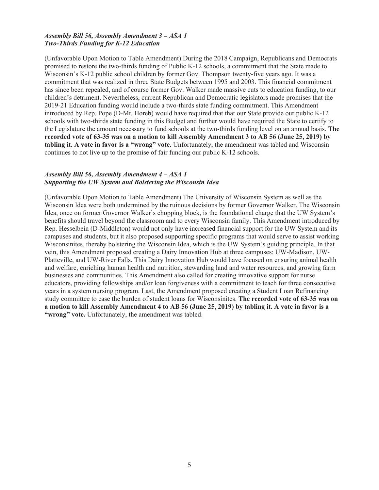#### *Assembly Bill 56, Assembly Amendment 3 – ASA 1 Two-Thirds Funding for K-12 Education*

(Unfavorable Upon Motion to Table Amendment) During the 2018 Campaign, Republicans and Democrats promised to restore the two-thirds funding of Public K-12 schools, a commitment that the State made to Wisconsin's K-12 public school children by former Gov. Thompson twenty-five years ago. It was a commitment that was realized in three State Budgets between 1995 and 2003. This financial commitment has since been repealed, and of course former Gov. Walker made massive cuts to education funding, to our children's detriment. Nevertheless, current Republican and Democratic legislators made promises that the 2019-21 Education funding would include a two-thirds state funding commitment. This Amendment introduced by Rep. Pope (D-Mt. Horeb) would have required that that our State provide our public K-12 schools with two-thirds state funding in this Budget and further would have required the State to certify to the Legislature the amount necessary to fund schools at the two-thirds funding level on an annual basis. **The recorded vote of 63-35 was on a motion to kill Assembly Amendment 3 to AB 56 (June 25, 2019) by tabling it. A vote in favor is a "wrong" vote.** Unfortunately, the amendment was tabled and Wisconsin continues to not live up to the promise of fair funding our public K-12 schools.

#### *Assembly Bill 56, Assembly Amendment 4 – ASA 1 Supporting the UW System and Bolstering the Wisconsin Idea*

(Unfavorable Upon Motion to Table Amendment) The University of Wisconsin System as well as the Wisconsin Idea were both undermined by the ruinous decisions by former Governor Walker. The Wisconsin Idea, once on former Governor Walker's chopping block, is the foundational charge that the UW System's benefits should travel beyond the classroom and to every Wisconsin family. This Amendment introduced by Rep. Hesselbein (D-Middleton) would not only have increased financial support for the UW System and its campuses and students, but it also proposed supporting specific programs that would serve to assist working Wisconsinites, thereby bolstering the Wisconsin Idea, which is the UW System's guiding principle. In that vein, this Amendment proposed creating a Dairy Innovation Hub at three campuses: UW-Madison, UW-Platteville, and UW-River Falls. This Dairy Innovation Hub would have focused on ensuring animal health and welfare, enriching human health and nutrition, stewarding land and water resources, and growing farm businesses and communities. This Amendment also called for creating innovative support for nurse educators, providing fellowships and/or loan forgiveness with a commitment to teach for three consecutive years in a system nursing program. Last, the Amendment proposed creating a Student Loan Refinancing study committee to ease the burden of student loans for Wisconsinites. **The recorded vote of 63-35 was on a motion to kill Assembly Amendment 4 to AB 56 (June 25, 2019) by tabling it. A vote in favor is a "wrong" vote.** Unfortunately, the amendment was tabled.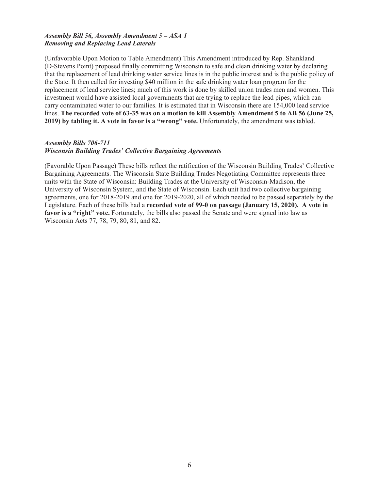#### *Assembly Bill 56, Assembly Amendment 5 – ASA 1 Removing and Replacing Lead Laterals*

(Unfavorable Upon Motion to Table Amendment) This Amendment introduced by Rep. Shankland (D-Stevens Point) proposed finally committing Wisconsin to safe and clean drinking water by declaring that the replacement of lead drinking water service lines is in the public interest and is the public policy of the State. It then called for investing \$40 million in the safe drinking water loan program for the replacement of lead service lines; much of this work is done by skilled union trades men and women. This investment would have assisted local governments that are trying to replace the lead pipes, which can carry contaminated water to our families. It is estimated that in Wisconsin there are 154,000 lead service lines. **The recorded vote of 63-35 was on a motion to kill Assembly Amendment 5 to AB 56 (June 25, 2019) by tabling it. A vote in favor is a "wrong" vote.** Unfortunately, the amendment was tabled.

#### *Assembly Bills 706-711 Wisconsin Building Trades' Collective Bargaining Agreements*

(Favorable Upon Passage) These bills reflect the ratification of the Wisconsin Building Trades' Collective Bargaining Agreements. The Wisconsin State Building Trades Negotiating Committee represents three units with the State of Wisconsin: Building Trades at the University of Wisconsin-Madison, the University of Wisconsin System, and the State of Wisconsin. Each unit had two collective bargaining agreements, one for 2018-2019 and one for 2019-2020, all of which needed to be passed separately by the Legislature. Each of these bills had a **recorded vote of 99-0 on passage (January 15, 2020). A vote in favor is a "right" vote.** Fortunately, the bills also passed the Senate and were signed into law as Wisconsin Acts 77, 78, 79, 80, 81, and 82.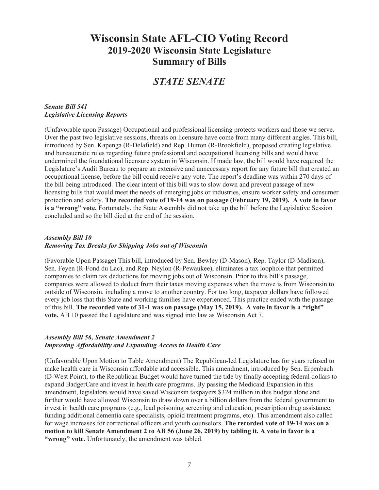# **Wisconsin State AFL-CIO Voting Record 2019-2020 Wisconsin State Legislature Summary of Bills**

## *STATE SENATE*

#### *Senate Bill 541 Legislative Licensing Reports*

(Unfavorable upon Passage) Occupational and professional licensing protects workers and those we serve. Over the past two legislative sessions, threats on licensure have come from many different angles. This bill, introduced by Sen. Kapenga (R-Delafield) and Rep. Hutton (R-Brookfield), proposed creating legislative and bureaucratic rules regarding future professional and occupational licensing bills and would have undermined the foundational licensure system in Wisconsin. If made law, the bill would have required the Legislature's Audit Bureau to prepare an extensive and unnecessary report for any future bill that created an occupational license, before the bill could receive any vote. The report's deadline was within 270 days of the bill being introduced. The clear intent of this bill was to slow down and prevent passage of new licensing bills that would meet the needs of emerging jobs or industries, ensure worker safety and consumer protection and safety. **The recorded vote of 19-14 was on passage (February 19, 2019). A vote in favor is a "wrong" vote.** Fortunately, the State Assembly did not take up the bill before the Legislative Session concluded and so the bill died at the end of the session.

#### *Assembly Bill 10 Removing Tax Breaks for Shipping Jobs out of Wisconsin*

(Favorable Upon Passage) This bill, introduced by Sen. Bewley (D-Mason), Rep. Taylor (D-Madison), Sen. Feyen (R-Fond du Lac), and Rep. Neylon (R-Pewaukee), eliminates a tax loophole that permitted companies to claim tax deductions for moving jobs out of Wisconsin. Prior to this bill's passage, companies were allowed to deduct from their taxes moving expenses when the move is from Wisconsin to outside of Wisconsin, including a move to another country. For too long, taxpayer dollars have followed every job loss that this State and working families have experienced. This practice ended with the passage of this bill. **The recorded vote of 31-1 was on passage (May 15, 2019). A vote in favor is a "right" vote.** AB 10 passed the Legislature and was signed into law as Wisconsin Act 7.

#### *Assembly Bill 56, Senate Amendment 2 Improving Affordability and Expanding Access to Health Care*

(Unfavorable Upon Motion to Table Amendment) The Republican-led Legislature has for years refused to make health care in Wisconsin affordable and accessible. This amendment, introduced by Sen. Erpenbach (D-West Point), to the Republican Budget would have turned the tide by finally accepting federal dollars to expand BadgerCare and invest in health care programs. By passing the Medicaid Expansion in this amendment, legislators would have saved Wisconsin taxpayers \$324 million in this budget alone and further would have allowed Wisconsin to draw down over a billion dollars from the federal government to invest in health care programs (e.g., lead poisoning screening and education, prescription drug assistance, funding additional dementia care specialists, opioid treatment programs, etc). This amendment also called for wage increases for correctional officers and youth counselors. **The recorded vote of 19-14 was on a motion to kill Senate Amendment 2 to AB 56 (June 26, 2019) by tabling it. A vote in favor is a "wrong" vote.** Unfortunately, the amendment was tabled.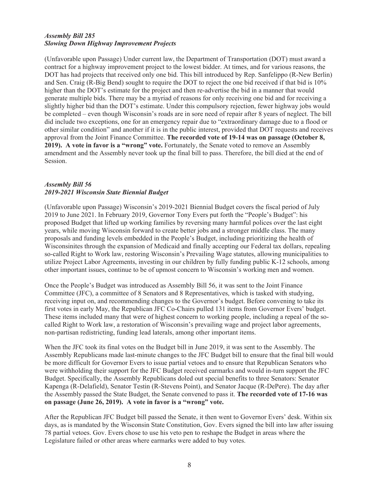## *Assembly Bill 285 Slowing Down Highway Improvement Projects*

(Unfavorable upon Passage) Under current law, the Department of Transportation (DOT) must award a contract for a highway improvement project to the lowest bidder. At times, and for various reasons, the DOT has had projects that received only one bid. This bill introduced by Rep. Sanfelippo (R-New Berlin) and Sen. Craig (R-Big Bend) sought to require the DOT to reject the one bid received if that bid is 10% higher than the DOT's estimate for the project and then re-advertise the bid in a manner that would generate multiple bids. There may be a myriad of reasons for only receiving one bid and for receiving a slightly higher bid than the DOT's estimate. Under this compulsory rejection, fewer highway jobs would be completed – even though Wisconsin's roads are in sore need of repair after 8 years of neglect. The bill did include two exceptions, one for an emergency repair due to "extraordinary damage due to a flood or other similar condition" and another if it is in the public interest, provided that DOT requests and receives approval from the Joint Finance Committee. **The recorded vote of 19-14 was on passage (October 8, 2019). A vote in favor is a "wrong" vote.** Fortunately, the Senate voted to remove an Assembly amendment and the Assembly never took up the final bill to pass. Therefore, the bill died at the end of Session.

#### *Assembly Bill 56 2019-2021 Wisconsin State Biennial Budget*

(Unfavorable upon Passage) Wisconsin's 2019-2021 Biennial Budget covers the fiscal period of July 2019 to June 2021. In February 2019, Governor Tony Evers put forth the "People's Budget": his proposed Budget that lifted up working families by reversing many harmful polices over the last eight years, while moving Wisconsin forward to create better jobs and a stronger middle class. The many proposals and funding levels embedded in the People's Budget, including prioritizing the health of Wisconsinites through the expansion of Medicaid and finally accepting our Federal tax dollars, repealing so-called Right to Work law, restoring Wisconsin's Prevailing Wage statutes, allowing municipalities to utilize Project Labor Agreements, investing in our children by fully funding public K-12 schools, among other important issues, continue to be of upmost concern to Wisconsin's working men and women.

Once the People's Budget was introduced as Assembly Bill 56, it was sent to the Joint Finance Committee (JFC), a committee of 8 Senators and 8 Representatives, which is tasked with studying, receiving input on, and recommending changes to the Governor's budget. Before convening to take its first votes in early May, the Republican JFC Co-Chairs pulled 131 items from Governor Evers' budget. These items included many that were of highest concern to working people, including a repeal of the socalled Right to Work law, a restoration of Wisconsin's prevailing wage and project labor agreements, non-partisan redistricting, funding lead laterals, among other important items.

When the JFC took its final votes on the Budget bill in June 2019, it was sent to the Assembly. The Assembly Republicans made last-minute changes to the JFC Budget bill to ensure that the final bill would be more difficult for Governor Evers to issue partial vetoes and to ensure that Republican Senators who were withholding their support for the JFC Budget received earmarks and would in-turn support the JFC Budget. Specifically, the Assembly Republicans doled out special benefits to three Senators: Senator Kapenga (R-Delafield), Senator Testin (R-Stevens Point), and Senator Jacque (R-DePere). The day after the Assembly passed the State Budget, the Senate convened to pass it. **The recorded vote of 17-16 was on passage (June 26, 2019). A vote in favor is a "wrong" vote.** 

After the Republican JFC Budget bill passed the Senate, it then went to Governor Evers' desk. Within six days, as is mandated by the Wisconsin State Constitution, Gov. Evers signed the bill into law after issuing 78 partial vetoes. Gov. Evers chose to use his veto pen to reshape the Budget in areas where the Legislature failed or other areas where earmarks were added to buy votes.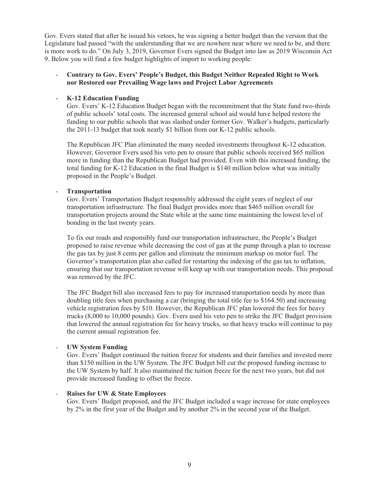Gov. Evers stated that after he issued his vetoes, he was signing a better budget than the version that the Legislature had passed "with the understanding that we are nowhere near where we need to be, and there is more work to do." On July 3, 2019, Governor Evers signed the Budget into law as 2019 Wisconsin Act 9. Below you will find a few budget highlights of import to working people:

#### - **Contrary to Gov. Evers' People's Budget, this Budget Neither Repealed Right to Work nor Restored our Prevailing Wage laws and Project Labor Agreements**

#### - **K-12 Education Funding**

Gov. Evers' K-12 Education Budget began with the recommitment that the State fund two-thirds of public schools' total costs. The increased general school aid would have helped restore the funding to our public schools that was slashed under former Gov. Walker's budgets, particularly the 2011-13 budget that took nearly \$1 billion from our K-12 public schools.

The Republican JFC Plan eliminated the many needed investments throughout K-12 education. However, Governor Evers used his veto pen to ensure that public schools received \$65 million more in funding than the Republican Budget had provided. Even with this increased funding, the total funding for K-12 Education in the final Budget is \$140 million below what was initially proposed in the People's Budget.

#### - **Transportation**

Gov. Evers' Transportation Budget responsibly addressed the eight years of neglect of our transportation infrastructure. The final Budget provides more than \$465 million overall for transportation projects around the State while at the same time maintaining the lowest level of bonding in the last twenty years.

To fix our roads and responsibly fund our transportation infrastructure, the People's Budget proposed to raise revenue while decreasing the cost of gas at the pump through a plan to increase the gas tax by just 8 cents per gallon and eliminate the minimum markup on motor fuel. The Governor's transportation plan also called for restarting the indexing of the gas tax to inflation, ensuring that our transportation revenue will keep up with our transportation needs. This proposal was removed by the JFC.

The JFC Budget bill also increased fees to pay for increased transportation needs by more than doubling title fees when purchasing a car (bringing the total title fee to \$164.50) and increasing vehicle registration fees by \$10. However, the Republican JFC plan lowered the fees for heavy trucks (8,000 to 10,000 pounds). Gov. Evers used his veto pen to strike the JFC Budget provision that lowered the annual registration fee for heavy trucks, so that heavy trucks will continue to pay the current annual registration fee.

#### - **UW System Funding**

Gov. Evers' Budget continued the tuition freeze for students and their families and invested more than \$150 million in the UW System. The JFC Budget bill cut the proposed funding increase to the UW System by half. It also maintained the tuition freeze for the next two years, but did not provide increased funding to offset the freeze.

#### - **Raises for UW & State Employees**

Gov. Evers' Budget proposed, and the JFC Budget included a wage increase for state employees by 2% in the first year of the Budget and by another 2% in the second year of the Budget.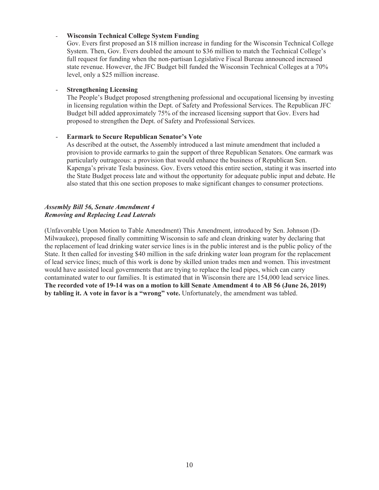#### - **Wisconsin Technical College System Funding**

Gov. Evers first proposed an \$18 million increase in funding for the Wisconsin Technical College System. Then, Gov. Evers doubled the amount to \$36 million to match the Technical College's full request for funding when the non-partisan Legislative Fiscal Bureau announced increased state revenue. However, the JFC Budget bill funded the Wisconsin Technical Colleges at a 70% level, only a \$25 million increase.

#### - **Strengthening Licensing**

The People's Budget proposed strengthening professional and occupational licensing by investing in licensing regulation within the Dept. of Safety and Professional Services. The Republican JFC Budget bill added approximately 75% of the increased licensing support that Gov. Evers had proposed to strengthen the Dept. of Safety and Professional Services.

#### - **Earmark to Secure Republican Senator's Vote**

As described at the outset, the Assembly introduced a last minute amendment that included a provision to provide earmarks to gain the support of three Republican Senators. One earmark was particularly outrageous: a provision that would enhance the business of Republican Sen. Kapenga's private Tesla business. Gov. Evers vetoed this entire section, stating it was inserted into the State Budget process late and without the opportunity for adequate public input and debate. He also stated that this one section proposes to make significant changes to consumer protections.

#### *Assembly Bill 56, Senate Amendment 4 Removing and Replacing Lead Laterals*

(Unfavorable Upon Motion to Table Amendment) This Amendment, introduced by Sen. Johnson (D-Milwaukee), proposed finally committing Wisconsin to safe and clean drinking water by declaring that the replacement of lead drinking water service lines is in the public interest and is the public policy of the State. It then called for investing \$40 million in the safe drinking water loan program for the replacement of lead service lines; much of this work is done by skilled union trades men and women. This investment would have assisted local governments that are trying to replace the lead pipes, which can carry contaminated water to our families. It is estimated that in Wisconsin there are 154,000 lead service lines. **The recorded vote of 19-14 was on a motion to kill Senate Amendment 4 to AB 56 (June 26, 2019) by tabling it. A vote in favor is a "wrong" vote.** Unfortunately, the amendment was tabled.